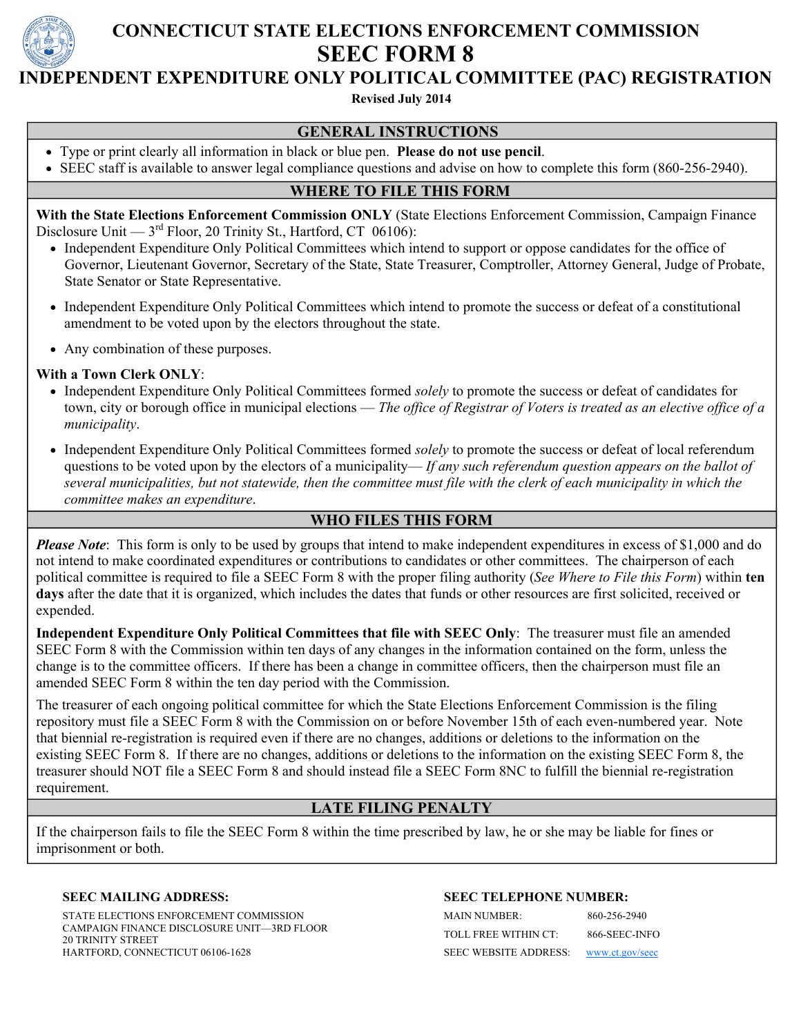

# **CONNECTICUT STATE ELECTIONS ENFORCEMENT COMMISSION SEEC FORM 8**

# **INDEPENDENT EXPENDITURE ONLY POLITICAL COMMITTEE (PAC) REGISTRATION**

 **Revised July 2014**

#### **GENERAL INSTRUCTIONS**

- Type or print clearly all information in black or blue pen. **Please do not use pencil**.
- SEEC staff is available to answer legal compliance questions and advise on how to complete this form (860-256-2940).

## **WHERE TO FILE THIS FORM**

**With the State Elections Enforcement Commission ONLY** (State Elections Enforcement Commission, Campaign Finance Disclosure Unit —  $3<sup>rd</sup>$  Floor, 20 Trinity St., Hartford, CT 06106):

- Independent Expenditure Only Political Committees which intend to support or oppose candidates for the office of Governor, Lieutenant Governor, Secretary of the State, State Treasurer, Comptroller, Attorney General, Judge of Probate, State Senator or State Representative.
- Independent Expenditure Only Political Committees which intend to promote the success or defeat of a constitutional amendment to be voted upon by the electors throughout the state.
- Any combination of these purposes.

#### **With a Town Clerk ONLY**:

- Independent Expenditure Only Political Committees formed *solely* to promote the success or defeat of candidates for town, city or borough office in municipal elections — *The office of Registrar of Voters is treated as an elective office of a municipality*.
- Independent Expenditure Only Political Committees formed *solely* to promote the success or defeat of local referendum questions to be voted upon by the electors of a municipality— *If any such referendum question appears on the ballot of several municipalities, but not statewide, then the committee must file with the clerk of each municipality in which the committee makes an expenditure*.

## **WHO FILES THIS FORM**

*Please Note*: This form is only to be used by groups that intend to make independent expenditures in excess of \$1,000 and do not intend to make coordinated expenditures or contributions to candidates or other committees. The chairperson of each political committee is required to file a SEEC Form 8 with the proper filing authority (*See Where to File this Form*) within **ten days** after the date that it is organized, which includes the dates that funds or other resources are first solicited, received or expended.

**Independent Expenditure Only Political Committees that file with SEEC Only**: The treasurer must file an amended SEEC Form 8 with the Commission within ten days of any changes in the information contained on the form, unless the change is to the committee officers. If there has been a change in committee officers, then the chairperson must file an amended SEEC Form 8 within the ten day period with the Commission.

The treasurer of each ongoing political committee for which the State Elections Enforcement Commission is the filing repository must file a SEEC Form 8 with the Commission on or before November 15th of each even-numbered year. Note that biennial re-registration is required even if there are no changes, additions or deletions to the information on the existing SEEC Form 8. If there are no changes, additions or deletions to the information on the existing SEEC Form 8, the treasurer should NOT file a SEEC Form 8 and should instead file a SEEC Form 8NC to fulfill the biennial re-registration requirement.

## **LATE FILING PENALTY**

If the chairperson fails to file the SEEC Form 8 within the time prescribed by law, he or she may be liable for fines or imprisonment or both.

#### **SEEC MAILING ADDRESS:**

STATE ELECTIONS ENFORCEMENT COMMISSION CAMPAIGN FINANCE DISCLOSURE UNIT—3RD FLOOR 20 TRINITY STREET HARTFORD, CONNECTICUT 06106-1628

#### **SEEC TELEPHONE NUMBER:**

MAIN NUMBER: 860-256-2940 TOLL FREE WITHIN CT: 866-SEEC-INFO SEEC WEBSITE ADDRESS: [www.ct.gov/seec](http://www.ct.gov/seec)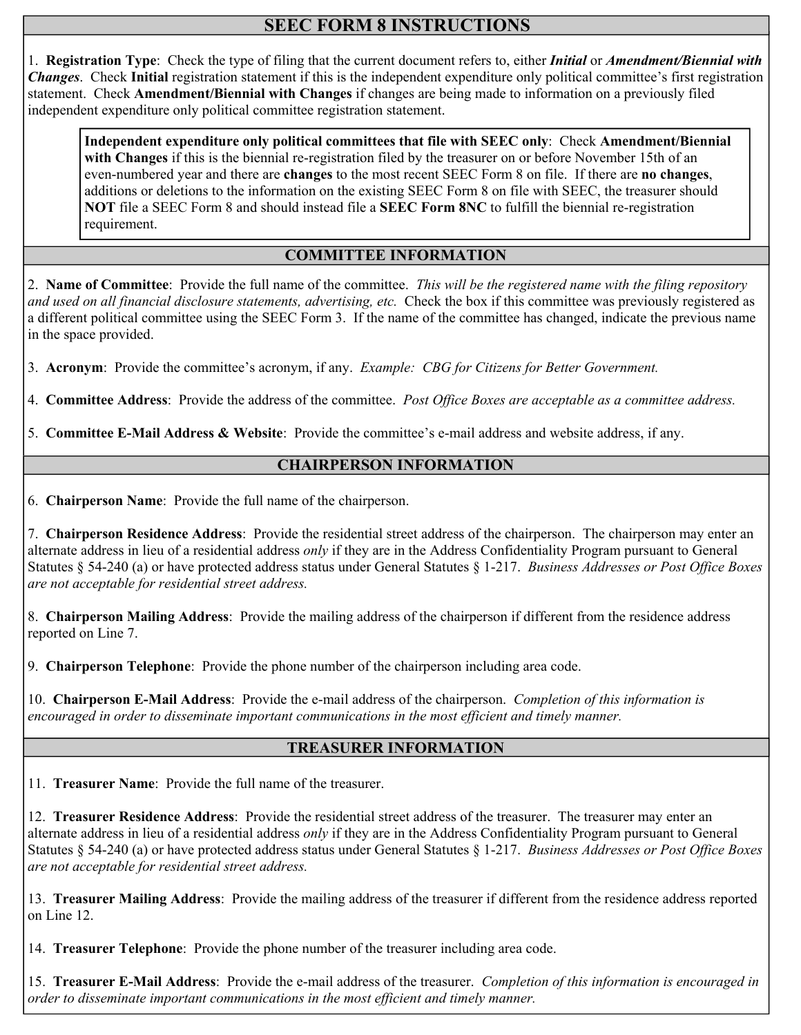# **SEEC FORM 8 INSTRUCTIONS**

1. **Registration Type**: Check the type of filing that the current document refers to, either *Initial* or *Amendment/Biennial with Changes*.Check **Initial** registration statement if this is the independent expenditure only political committee's first registration statement. Check **Amendment/Biennial with Changes** if changes are being made to information on a previously filed independent expenditure only political committee registration statement.

**Independent expenditure only political committees that file with SEEC only**:Check **Amendment/Biennial with Changes** if this is the biennial re-registration filed by the treasurer on or before November 15th of an even-numbered year and there are **changes** to the most recent SEEC Form 8 on file. If there are **no changes**, additions or deletions to the information on the existing SEEC Form 8 on file with SEEC, the treasurer should **NOT** file a SEEC Form 8 and should instead file a **SEEC Form 8NC** to fulfill the biennial re-registration requirement.

## **COMMITTEE INFORMATION**

2. **Name of Committee**: Provide the full name of the committee. *This will be the registered name with the filing repository and used on all financial disclosure statements, advertising, etc.* Check the box if this committee was previously registered as a different political committee using the SEEC Form 3. If the name of the committee has changed, indicate the previous name in the space provided.

3. **Acronym**: Provide the committee's acronym, if any. *Example: CBG for Citizens for Better Government.* 

4. **Committee Address**:Provide the address of the committee. *Post Office Boxes are acceptable as a committee address.* 

5. **Committee E-Mail Address & Website**: Provide the committee's e-mail address and website address, if any.

### **CHAIRPERSON INFORMATION**

6. **Chairperson Name**: Provide the full name of the chairperson.

7. **Chairperson Residence Address**: Provide the residential street address of the chairperson. The chairperson may enter an alternate address in lieu of a residential address *only* if they are in the Address Confidentiality Program pursuant to General Statutes § 54-240 (a) or have protected address status under General Statutes § 1-217. *Business Addresses or Post Office Boxes are not acceptable for residential street address.* 

8. **Chairperson Mailing Address**: Provide the mailing address of the chairperson if different from the residence address reported on Line 7.

9. **Chairperson Telephone**: Provide the phone number of the chairperson including area code.

10. **Chairperson E-Mail Address**: Provide the e-mail address of the chairperson. *Completion of this information is encouraged in order to disseminate important communications in the most efficient and timely manner.* 

#### **TREASURER INFORMATION**

11. **Treasurer Name**: Provide the full name of the treasurer.

12. **Treasurer Residence Address**: Provide the residential street address of the treasurer. The treasurer may enter an alternate address in lieu of a residential address *only* if they are in the Address Confidentiality Program pursuant to General Statutes § 54-240 (a) or have protected address status under General Statutes § 1-217. *Business Addresses or Post Office Boxes are not acceptable for residential street address.* 

13. **Treasurer Mailing Address**: Provide the mailing address of the treasurer if different from the residence address reported on Line 12.

14. **Treasurer Telephone**: Provide the phone number of the treasurer including area code.

15. **Treasurer E-Mail Address**: Provide the e-mail address of the treasurer. *Completion of this information is encouraged in order to disseminate important communications in the most efficient and timely manner.*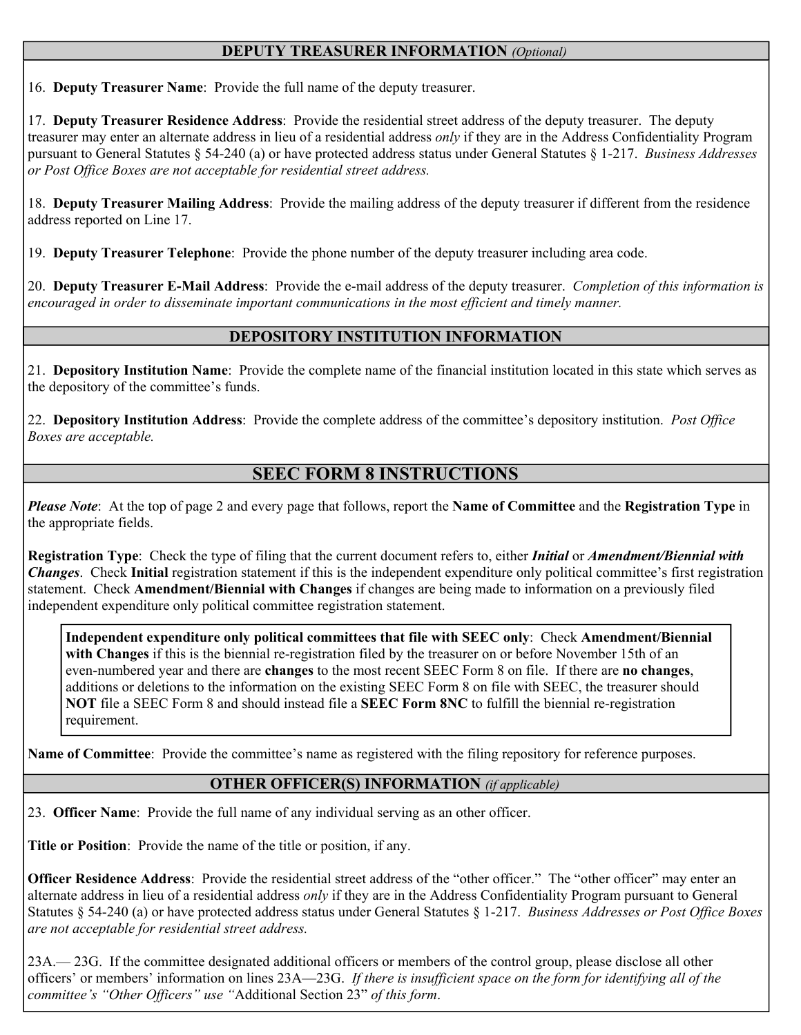## **DEPUTY TREASURER INFORMATION** *(Optional)*

16. **Deputy Treasurer Name**: Provide the full name of the deputy treasurer.

17. **Deputy Treasurer Residence Address**: Provide the residential street address of the deputy treasurer. The deputy treasurer may enter an alternate address in lieu of a residential address *only* if they are in the Address Confidentiality Program pursuant to General Statutes § 54-240 (a) or have protected address status under General Statutes § 1-217. *Business Addresses or Post Office Boxes are not acceptable for residential street address.* 

18. **Deputy Treasurer Mailing Address**: Provide the mailing address of the deputy treasurer if different from the residence address reported on Line 17.

19. **Deputy Treasurer Telephone**: Provide the phone number of the deputy treasurer including area code.

20. **Deputy Treasurer E-Mail Address**: Provide the e-mail address of the deputy treasurer. *Completion of this information is encouraged in order to disseminate important communications in the most efficient and timely manner.* 

## **DEPOSITORY INSTITUTION INFORMATION**

21. **Depository Institution Name**: Provide the complete name of the financial institution located in this state which serves as the depository of the committee's funds.

22. **Depository Institution Address**: Provide the complete address of the committee's depository institution. *Post Office Boxes are acceptable.* 

## **SEEC FORM 8 INSTRUCTIONS**

*Please Note*:At the top of page 2 and every page that follows, report the **Name of Committee** and the **Registration Type** in the appropriate fields.

**Registration Type**: Check the type of filing that the current document refers to, either *Initial* or *Amendment/Biennial with Changes*.Check **Initial** registration statement if this is the independent expenditure only political committee's first registration statement. Check **Amendment/Biennial with Changes** if changes are being made to information on a previously filed independent expenditure only political committee registration statement.

**Independent expenditure only political committees that file with SEEC only**:Check **Amendment/Biennial with Changes** if this is the biennial re-registration filed by the treasurer on or before November 15th of an even-numbered year and there are **changes** to the most recent SEEC Form 8 on file. If there are **no changes**, additions or deletions to the information on the existing SEEC Form 8 on file with SEEC, the treasurer should **NOT** file a SEEC Form 8 and should instead file a **SEEC Form 8NC** to fulfill the biennial re-registration requirement.

**Name of Committee**: Provide the committee's name as registered with the filing repository for reference purposes.

## **OTHER OFFICER(S) INFORMATION** *(if applicable)*

23. **Officer Name**: Provide the full name of any individual serving as an other officer.

**Title or Position**: Provide the name of the title or position, if any.

**Officer Residence Address**: Provide the residential street address of the "other officer." The "other officer" may enter an alternate address in lieu of a residential address *only* if they are in the Address Confidentiality Program pursuant to General Statutes § 54-240 (a) or have protected address status under General Statutes § 1-217. *Business Addresses or Post Office Boxes are not acceptable for residential street address.* 

23A.— 23G. If the committee designated additional officers or members of the control group, please disclose all other officers' or members' information on lines 23A—23G. *If there is insufficient space on the form for identifying all of the committee's "Other Officers" use "*Additional Section 23" *of this form*.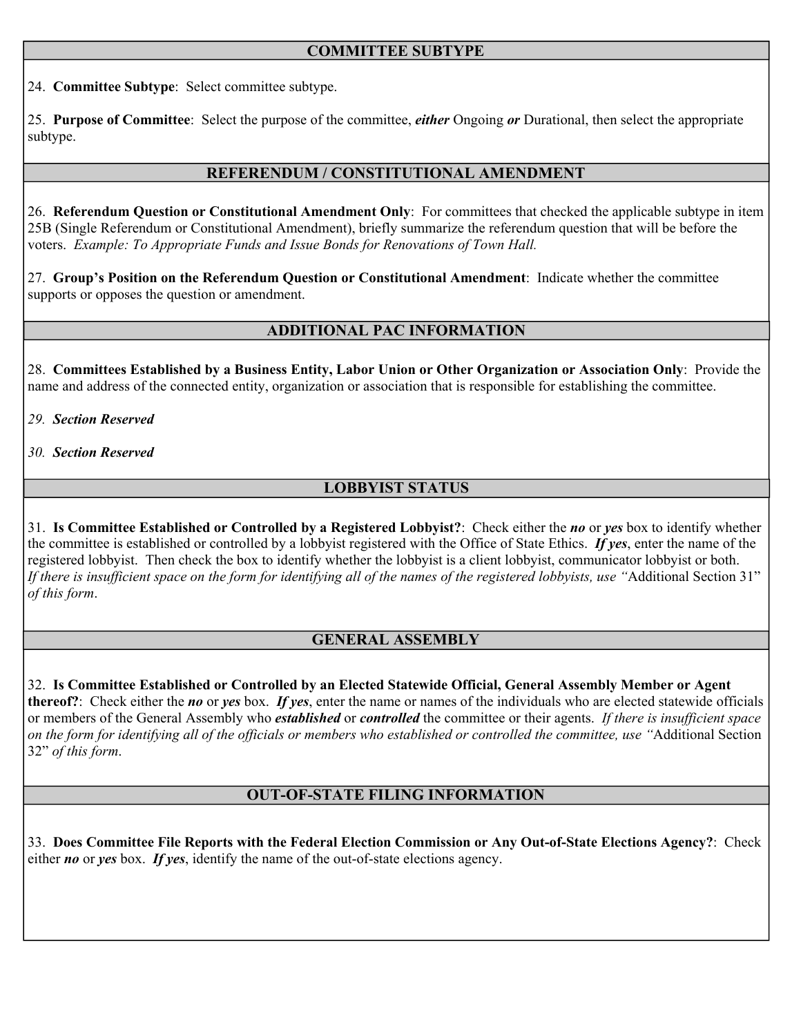### **COMMITTEE SUBTYPE**

24. **Committee Subtype**: Select committee subtype.

25. **Purpose of Committee**: Select the purpose of the committee, *either* Ongoing *or* Durational, then select the appropriate subtype.

### **REFERENDUM / CONSTITUTIONAL AMENDMENT**

26. **Referendum Question or Constitutional Amendment Only**: For committees that checked the applicable subtype in item 25B (Single Referendum or Constitutional Amendment), briefly summarize the referendum question that will be before the voters. *Example: To Appropriate Funds and Issue Bonds for Renovations of Town Hall.* 

27. **Group's Position on the Referendum Question or Constitutional Amendment**: Indicate whether the committee supports or opposes the question or amendment.

## **ADDITIONAL PAC INFORMATION**

28. **Committees Established by a Business Entity, Labor Union or Other Organization or Association Only**: Provide the name and address of the connected entity, organization or association that is responsible for establishing the committee.

- *29. Section Reserved*
- *30. Section Reserved*

### **LOBBYIST STATUS**

31. **Is Committee Established or Controlled by a Registered Lobbyist?**: Check either the *no* or *yes* box to identify whether the committee is established or controlled by a lobbyist registered with the Office of State Ethics. *If yes*, enter the name of the registered lobbyist. Then check the box to identify whether the lobbyist is a client lobbyist, communicator lobbyist or both. *If there is insufficient space on the form for identifying all of the names of the registered lobbyists, use "*Additional Section 31" *of this form*.

#### **GENERAL ASSEMBLY**

32. **Is Committee Established or Controlled by an Elected Statewide Official, General Assembly Member or Agent thereof?**: Check either the *no* or *yes* box. *If yes*, enter the name or names of the individuals who are elected statewide officials or members of the General Assembly who *established* or *controlled* the committee or their agents. *If there is insufficient space on the form for identifying all of the officials or members who established or controlled the committee, use "*Additional Section 32" *of this form*.

#### **OUT-OF-STATE FILING INFORMATION**

33. **Does Committee File Reports with the Federal Election Commission or Any Out-of-State Elections Agency?**: Check either *no* or *yes* box. *If yes*, identify the name of the out-of-state elections agency.